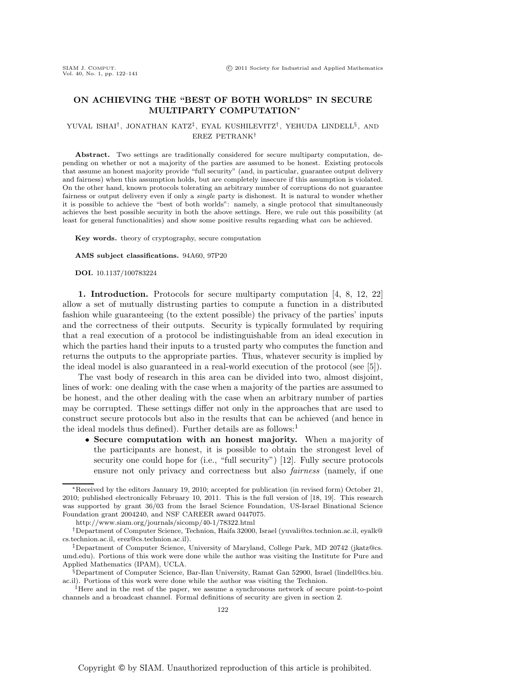# **ON ACHIEVING THE "BEST OF BOTH WORLDS" IN SECURE MULTIPARTY COMPUTATION**∗

## YUVAL ISHAI† , JONATHAN KATZ‡, EYAL KUSHILEVITZ† , YEHUDA LINDELL§ , AND EREZ PETRANK†

**Abstract.** Two settings are traditionally considered for secure multiparty computation, depending on whether or not a majority of the parties are assumed to be honest. Existing protocols that assume an honest majority provide "full security" (and, in particular, guarantee output delivery and fairness) when this assumption holds, but are completely insecure if this assumption is violated. On the other hand, known protocols tolerating an arbitrary number of corruptions do not guarantee fairness or output delivery even if only a single party is dishonest. It is natural to wonder whether it is possible to achieve the "best of both worlds": namely, a single protocol that simultaneously achieves the best possible security in both the above settings. Here, we rule out this possibility (at least for general functionalities) and show some positive results regarding what can be achieved.

**Key words.** theory of cryptography, secure computation

#### **AMS subject classifications.** 94A60, 97P20

**DOI.** 10.1137/100783224

**1. Introduction.** Protocols for secure multiparty computation [4, 8, 12, 22] allow a set of mutually distrusting parties to compute a function in a distributed fashion while guaranteeing (to the extent possible) the privacy of the parties' inputs and the correctness of their outputs. Security is typically formulated by requiring that a real execution of a protocol be indistinguishable from an ideal execution in which the parties hand their inputs to a trusted party who computes the function and returns the outputs to the appropriate parties. Thus, whatever security is implied by the ideal model is also guaranteed in a real-world execution of the protocol (see [5]).

The vast body of research in this area can be divided into two, almost disjoint, lines of work: one dealing with the case when a majority of the parties are assumed to be honest, and the other dealing with the case when an arbitrary number of parties may be corrupted. These settings differ not only in the approaches that are used to construct secure protocols but also in the results that can be achieved (and hence in the ideal models thus defined). Further details are as follows:<sup>1</sup>

• **Secure computation with an honest majority.** When a majority of the participants are honest, it is possible to obtain the strongest level of security one could hope for (i.e., "full security") [12]. Fully secure protocols ensure not only privacy and correctness but also *fairness* (namely, if one

<sup>∗</sup>Received by the editors January 19, 2010; accepted for publication (in revised form) October 21, 2010; published electronically February 10, 2011. This is the full version of [18, 19]. This research was supported by grant 36/03 from the Israel Science Foundation, US-Israel Binational Science Foundation grant 2004240, and NSF CAREER award 0447075.

http://www.siam.org/journals/sicomp/40-1/78322.html

<sup>†</sup>Department of Computer Science, Technion, Haifa 32000, Israel (yuvali@cs.technion.ac.il, eyalk@ cs.technion.ac.il, erez@cs.technion.ac.il).

<sup>‡</sup>Department of Computer Science, University of Maryland, College Park, MD 20742 (jkatz@cs. umd.edu). Portions of this work were done while the author was visiting the Institute for Pure and Applied Mathematics (IPAM), UCLA.

<sup>§</sup>Department of Computer Science, Bar-Ilan University, Ramat Gan 52900, Israel (lindell@cs.biu. ac.il). Portions of this work were done while the author was visiting the Technion.<br><sup>1</sup>Here and in the rest of the paper, we assume a synchronous network of secure point-to-point

channels and a broadcast channel. Formal definitions of security are given in section 2.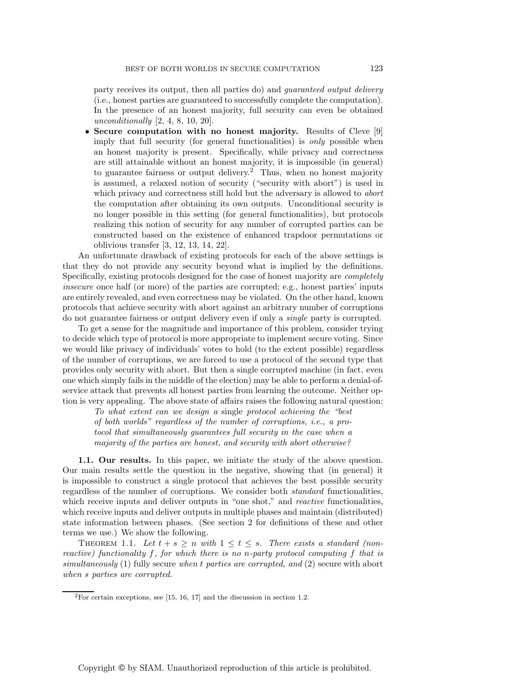party receives its output, then all parties do) and *guaranteed output delivery* (i.e., honest parties are guaranteed to successfully complete the computation). In the presence of an honest majority, full security can even be obtained *unconditionally* [2, 4, 8, 10, 20].

• **Secure computation with no honest majority.** Results of Cleve [9] imply that full security (for general functionalities) is *only* possible when an honest majority is present. Specifically, while privacy and correctness are still attainable without an honest majority, it is impossible (in general) to guarantee fairness or output delivery.<sup>2</sup> Thus, when no honest majority is assumed, a relaxed notion of security ("security with abort") is used in which privacy and correctness still hold but the adversary is allowed to *abort* the computation after obtaining its own outputs. Unconditional security is no longer possible in this setting (for general functionalities), but protocols realizing this notion of security for any number of corrupted parties can be constructed based on the existence of enhanced trapdoor permutations or oblivious transfer [3, 12, 13, 14, 22].

An unfortunate drawback of existing protocols for each of the above settings is that they do not provide any security beyond what is implied by the definitions. Specifically, existing protocols designed for the case of honest majority are *completely insecure* once half (or more) of the parties are corrupted; e.g., honest parties' inputs are entirely revealed, and even correctness may be violated. On the other hand, known protocols that achieve security with abort against an arbitrary number of corruptions do not guarantee fairness or output delivery even if only a *single* party is corrupted.

To get a sense for the magnitude and importance of this problem, consider trying to decide which type of protocol is more appropriate to implement secure voting. Since we would like privacy of individuals' votes to hold (to the extent possible) regardless of the number of corruptions, we are forced to use a protocol of the second type that provides only security with abort. But then a single corrupted machine (in fact, even one which simply fails in the middle of the election) may be able to perform a denial-ofservice attack that prevents all honest parties from learning the outcome. Neither option is very appealing. The above state of affairs raises the following natural question:

*To what extent can we design a* single *protocol achieving the "best of both worlds" regardless of the number of corruptions, i.e., a protocol that simultaneously guarantees full security in the case when a majority of the parties are honest, and security with abort otherwise?*

**1.1. Our results.** In this paper, we initiate the study of the above question. Our main results settle the question in the negative, showing that (in general) it is impossible to construct a single protocol that achieves the best possible security regardless of the number of corruptions. We consider both *standard* functionalities, which receive inputs and deliver outputs in "one shot," and *reactive* functionalities, which receive inputs and deliver outputs in multiple phases and maintain (distributed) state information between phases. (See section 2 for definitions of these and other terms we use.) We show the following.

THEOREM 1.1. Let  $t + s \geq n$  with  $1 \leq t \leq s$ . There exists a standard (non*reactive) functionality* f*, for which there is no* n*-party protocol computing* f *that is simultaneously* (1) fully secure *when* t *parties are corrupted, and* (2) secure with abort *when* s *parties are corrupted.*

 ${}^{2}$ For certain exceptions, see [15, 16, 17] and the discussion in section 1.2.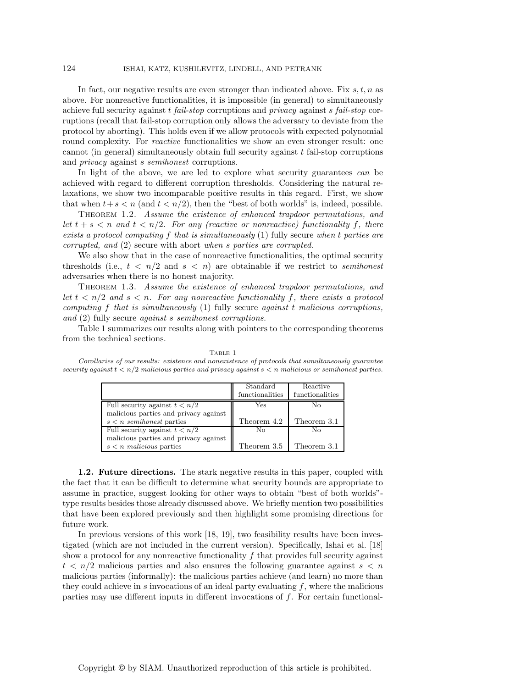In fact, our negative results are even stronger than indicated above. Fix  $s, t, n$  as above. For nonreactive functionalities, it is impossible (in general) to simultaneously achieve full security against t *fail-stop* corruptions and *privacy* against s *fail-stop* corruptions (recall that fail-stop corruption only allows the adversary to deviate from the protocol by aborting). This holds even if we allow protocols with expected polynomial round complexity. For *reactive* functionalities we show an even stronger result: one cannot (in general) simultaneously obtain full security against  $t$  fail-stop corruptions and *privacy* against s *semihonest* corruptions.

In light of the above, we are led to explore what security guarantees *can* be achieved with regard to different corruption thresholds. Considering the natural relaxations, we show two incomparable positive results in this regard. First, we show that when  $t+s < n$  (and  $t < n/2$ ), then the "best of both worlds" is, indeed, possible.

Theorem 1.2. *Assume the existence of enhanced trapdoor permutations, and let*  $t + s < n$  *and*  $t < n/2$ *. For any (reactive or nonreactive) functionality* f, there *exists a protocol computing* f *that is simultaneously* (1) fully secure *when* t *parties are corrupted, and* (2) secure with abort *when* s *parties are corrupted.*

We also show that in the case of nonreactive functionalities, the optimal security thresholds (i.e.,  $t < n/2$  and  $s < n$ ) are obtainable if we restrict to *semihonest* adversaries when there is no honest majority.

Theorem 1.3. *Assume the existence of enhanced trapdoor permutations, and let*  $t < n/2$  *and*  $s < n$ *. For any nonreactive functionality* f, there exists a protocol *computing* f *that is simultaneously* (1) fully secure *against* t *malicious corruptions, and* (2) fully secure *against* s *semihonest corruptions.*

Table 1 summarizes our results along with pointers to the corresponding theorems from the technical sections.

TABLE 1 Corollaries of our results: existence and nonexistence of protocols that simultaneously guarantee security against  $t < n/2$  malicious parties and privacy against  $s < n$  malicious or semihonest parties.

|                                       | Standard        | Reactive        |
|---------------------------------------|-----------------|-----------------|
|                                       | functionalities | functionalities |
| Full security against $t < n/2$       | Yes             | Nο              |
| malicious parties and privacy against |                 |                 |
| $s < n$ semihonest parties            | Theorem 4.2     | Theorem 3.1     |
| Full security against $t < n/2$       | Nο              | Nο              |
| malicious parties and privacy against |                 |                 |
| $s < n$ malicious parties             | Theorem 3.5     | Theorem 3.1     |

**1.2. Future directions.** The stark negative results in this paper, coupled with the fact that it can be difficult to determine what security bounds are appropriate to assume in practice, suggest looking for other ways to obtain "best of both worlds" type results besides those already discussed above. We briefly mention two possibilities that have been explored previously and then highlight some promising directions for future work.

In previous versions of this work [18, 19], two feasibility results have been investigated (which are not included in the current version). Specifically, Ishai et al. [18] show a protocol for any nonreactive functionality f that provides full security against  $t < n/2$  malicious parties and also ensures the following guarantee against  $s < n$ malicious parties (informally): the malicious parties achieve (and learn) no more than they could achieve in s invocations of an ideal party evaluating  $f$ , where the malicious parties may use different inputs in different invocations of f. For certain functional-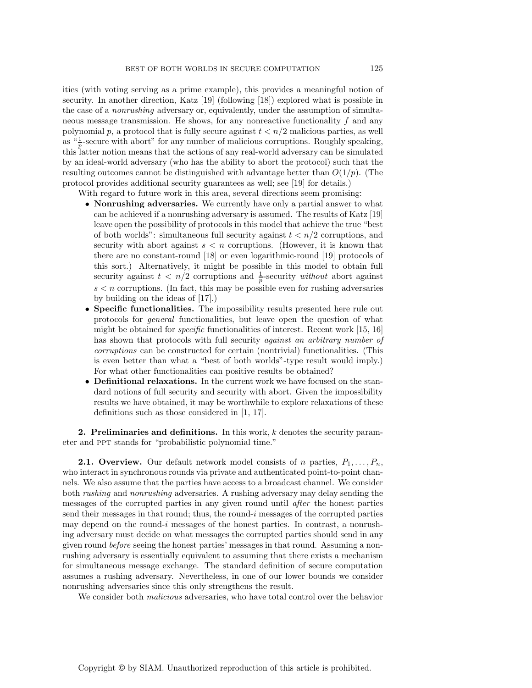ities (with voting serving as a prime example), this provides a meaningful notion of security. In another direction, Katz [19] (following [18]) explored what is possible in the case of a *nonrushing* adversary or, equivalently, under the assumption of simultaneous message transmission. He shows, for any nonreactive functionality  $f$  and any polynomial p, a protocol that is fully secure against  $t < n/2$  malicious parties, as well as  $\frac{x_1}{p}$ -secure with abort" for any number of malicious corruptions. Roughly speaking, this latter notion means that the actions of any real-world adversary can be simulated by an ideal-world adversary (who has the ability to abort the protocol) such that the resulting outcomes cannot be distinguished with advantage better than  $O(1/p)$ . (The protocol provides additional security guarantees as well; see [19] for details.)

With regard to future work in this area, several directions seem promising:

- **Nonrushing adversaries.** We currently have only a partial answer to what can be achieved if a nonrushing adversary is assumed. The results of Katz [19] leave open the possibility of protocols in this model that achieve the true "best of both worlds": simultaneous full security against  $t < n/2$  corruptions, and security with abort against  $s < n$  corruptions. (However, it is known that there are no constant-round [18] or even logarithmic-round [19] protocols of this sort.) Alternatively, it might be possible in this model to obtain full security against  $t < n/2$  corruptions and  $\frac{1}{p}$ -security *without* abort against  $s < n$  corruptions. (In fact, this may be possible even for rushing adversaries by building on the ideas of [17].)
- **Specific functionalities.** The impossibility results presented here rule out protocols for *general* functionalities, but leave open the question of what might be obtained for *specific* functionalities of interest. Recent work [15, 16] has shown that protocols with full security *against an arbitrary number of corruptions* can be constructed for certain (nontrivial) functionalities. (This is even better than what a "best of both worlds"-type result would imply.) For what other functionalities can positive results be obtained?
- **Definitional relaxations.** In the current work we have focused on the standard notions of full security and security with abort. Given the impossibility results we have obtained, it may be worthwhile to explore relaxations of these definitions such as those considered in [1, 17].

**2. Preliminaries and definitions.** In this work, k denotes the security parameter and ppt stands for "probabilistic polynomial time."

**2.1. Overview.** Our default network model consists of n parties,  $P_1, \ldots, P_n$ , who interact in synchronous rounds via private and authenticated point-to-point channels. We also assume that the parties have access to a broadcast channel. We consider both *rushing* and *nonrushing* adversaries. A rushing adversary may delay sending the messages of the corrupted parties in any given round until *after* the honest parties send their messages in that round; thus, the round-i messages of the corrupted parties may depend on the round-i messages of the honest parties. In contrast, a nonrushing adversary must decide on what messages the corrupted parties should send in any given round *before* seeing the honest parties' messages in that round. Assuming a nonrushing adversary is essentially equivalent to assuming that there exists a mechanism for simultaneous message exchange. The standard definition of secure computation assumes a rushing adversary. Nevertheless, in one of our lower bounds we consider nonrushing adversaries since this only strengthens the result.

We consider both *malicious* adversaries, who have total control over the behavior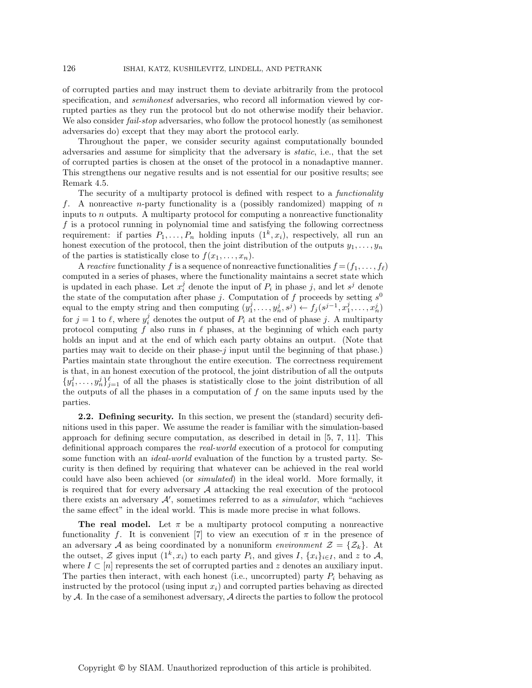of corrupted parties and may instruct them to deviate arbitrarily from the protocol specification, and *semihonest* adversaries, who record all information viewed by corrupted parties as they run the protocol but do not otherwise modify their behavior. We also consider *fail-stop* adversaries, who follow the protocol honestly (as semihonest adversaries do) except that they may abort the protocol early.

Throughout the paper, we consider security against computationally bounded adversaries and assume for simplicity that the adversary is *static*, i.e., that the set of corrupted parties is chosen at the onset of the protocol in a nonadaptive manner. This strengthens our negative results and is not essential for our positive results; see Remark 4.5.

The security of a multiparty protocol is defined with respect to a *functionality* f. A nonreactive *n*-party functionality is a (possibly randomized) mapping of n inputs to  $n$  outputs. A multiparty protocol for computing a nonreactive functionality  $f$  is a protocol running in polynomial time and satisfying the following correctness requirement: if parties  $P_1, \ldots, P_n$  holding inputs  $(1^k, x_i)$ , respectively, all run an honest execution of the protocol, then the joint distribution of the outputs  $y_1, \ldots, y_n$ of the parties is statistically close to  $f(x_1,...,x_n)$ .

A *reactive* functionality f is a sequence of nonreactive functionalities  $f = (f_1, \ldots, f_\ell)$ computed in a series of phases, where the functionality maintains a secret state which is updated in each phase. Let  $x_i^j$  denote the input of  $P_i$  in phase j, and let  $s^j$  denote the state of the computation after phase j. Computation of f proceeds by setting  $s^0$ equal to the empty string and then computing  $(y_1^j, \ldots, y_n^j, s^j) \leftarrow f_j(s^{j-1}, x_1^j, \ldots, x_n^j)$ for  $j = 1$  to  $\ell$ , where  $y_i^j$  denotes the output of  $P_i$  at the end of phase j. A multiparty protocol computing f also runs in  $\ell$  phases, at the beginning of which each party holds an input and at the end of which each party obtains an output. (Note that parties may wait to decide on their phase-j input until the beginning of that phase.) Parties maintain state throughout the entire execution. The correctness requirement is that, in an honest execution of the protocol, the joint distribution of all the outputs  ${y_1^j, \ldots, y_n^j}_{j=1}^{\ell}$  of all the phases is statistically close to the joint distribution of all the outputs of all the phases in a computation of  $f$  on the same inputs used by the parties.

**2.2. Defining security.** In this section, we present the (standard) security definitions used in this paper. We assume the reader is familiar with the simulation-based approach for defining secure computation, as described in detail in [5, 7, 11]. This definitional approach compares the *real-world* execution of a protocol for computing some function with an *ideal-world* evaluation of the function by a trusted party. Security is then defined by requiring that whatever can be achieved in the real world could have also been achieved (or *simulated*) in the ideal world. More formally, it is required that for every adversary  $A$  attacking the real execution of the protocol there exists an adversary A , sometimes referred to as a *simulator*, which "achieves the same effect" in the ideal world. This is made more precise in what follows.

**The real model.** Let  $\pi$  be a multiparty protocol computing a nonreactive functionality f. It is convenient [7] to view an execution of  $\pi$  in the presence of an adversary A as being coordinated by a nonuniform *environment*  $\mathcal{Z} = \{Z_k\}$ . At the outset,  $\mathcal Z$  gives input  $(1^k, x_i)$  to each party  $P_i$ , and gives  $I, \{x_i\}_{i\in I}$ , and  $z$  to  $\mathcal A$ , where  $I \subset [n]$  represents the set of corrupted parties and z denotes an auxiliary input. The parties then interact, with each honest (i.e., uncorrupted) party  $P_i$  behaving as instructed by the protocol (using input  $x_i$ ) and corrupted parties behaving as directed by  $A$ . In the case of a semihonest adversary,  $A$  directs the parties to follow the protocol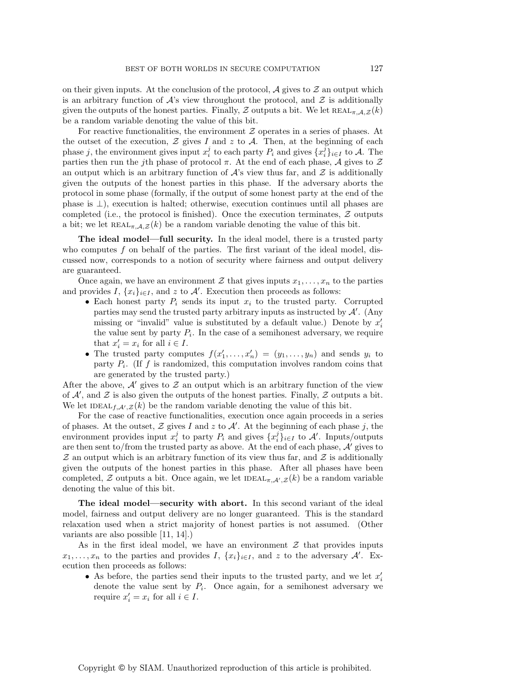on their given inputs. At the conclusion of the protocol,  $A$  gives to  $Z$  an output which is an arbitrary function of  $\mathcal{A}$ 's view throughout the protocol, and  $\mathcal{Z}$  is additionally given the outputs of the honest parties. Finally, Z outputs a bit. We let  $REAL_{\pi,\mathcal{A},\mathcal{Z}}(k)$ be a random variable denoting the value of this bit.

For reactive functionalities, the environment  $\mathcal Z$  operates in a series of phases. At the outset of the execution,  $\mathcal Z$  gives I and  $z$  to  $\mathcal A$ . Then, at the beginning of each phase j, the environment gives input  $x_i^j$  to each party  $P_i$  and gives  $\{x_i^j\}_{i\in I}$  to A. The parties then run the jth phase of protocol  $\pi$ . At the end of each phase, A gives to Z an output which is an arbitrary function of  $\mathcal{A}$ 's view thus far, and  $\mathcal{Z}$  is additionally given the outputs of the honest parties in this phase. If the adversary aborts the protocol in some phase (formally, if the output of some honest party at the end of the phase is  $\perp$ ), execution is halted; otherwise, execution continues until all phases are completed (i.e., the protocol is finished). Once the execution terminates,  $Z$  outputs a bit; we let  $REAL_{\pi,\mathcal{A},\mathcal{Z}}(k)$  be a random variable denoting the value of this bit.

**The ideal model—full security.** In the ideal model, there is a trusted party who computes  $f$  on behalf of the parties. The first variant of the ideal model, discussed now, corresponds to a notion of security where fairness and output delivery are guaranteed.

Once again, we have an environment  $\mathcal Z$  that gives inputs  $x_1,\ldots,x_n$  to the parties and provides I,  $\{x_i\}_{i\in I}$ , and z to A'. Execution then proceeds as follows:

- Each honest party  $P_i$  sends its input  $x_i$  to the trusted party. Corrupted parties may send the trusted party arbitrary inputs as instructed by  $\mathcal{A}'$ . (Any missing or "invalid" value is substituted by a default value.) Denote by  $x_i'$ the value sent by party  $P_i$ . In the case of a semihonest adversary, we require that  $x'_i = x_i$  for all  $i \in I$ .
- The trusted party computes  $f(x'_1,\ldots,x'_n) = (y_1,\ldots,y_n)$  and sends  $y_i$  to party  $P_i$ . (If f is randomized, this computation involves random coins that are generated by the trusted party.)

After the above,  $\mathcal{A}'$  gives to  $\mathcal Z$  an output which is an arbitrary function of the view of  $\mathcal{A}'$ , and  $\mathcal{Z}$  is also given the outputs of the honest parties. Finally,  $\mathcal{Z}$  outputs a bit. We let  $\text{IDEAL}_{f,\mathcal{A}',\mathcal{Z}}(k)$  be the random variable denoting the value of this bit.

For the case of reactive functionalities, execution once again proceeds in a series of phases. At the outset,  $\mathcal Z$  gives I and z to  $\mathcal A'$ . At the beginning of each phase j, the environment provides input  $x_i^j$  to party  $P_i$  and gives  $\{x_i^j\}_{i\in I}$  to  $\mathcal{A}'$ . Inputs/outputs are then sent to/from the trusted party as above. At the end of each phase,  $\mathcal{A}'$  gives to  $Z$  an output which is an arbitrary function of its view thus far, and  $Z$  is additionally given the outputs of the honest parties in this phase. After all phases have been completed,  $\mathcal Z$  outputs a bit. Once again, we let  $\text{IDEAL}_{\pi,\mathcal A',\mathcal Z}(k)$  be a random variable denoting the value of this bit.

**The ideal model—security with abort.** In this second variant of the ideal model, fairness and output delivery are no longer guaranteed. This is the standard relaxation used when a strict majority of honest parties is not assumed. (Other variants are also possible [11, 14].)

As in the first ideal model, we have an environment  $\mathcal Z$  that provides inputs  $x_1, \ldots, x_n$  to the parties and provides I,  $\{x_i\}_{i \in I}$ , and z to the adversary  $\mathcal{A}'$ . Execution then proceeds as follows:

• As before, the parties send their inputs to the trusted party, and we let  $x_i'$ denote the value sent by  $P_i$ . Once again, for a semihonest adversary we require  $x'_i = x_i$  for all  $i \in I$ .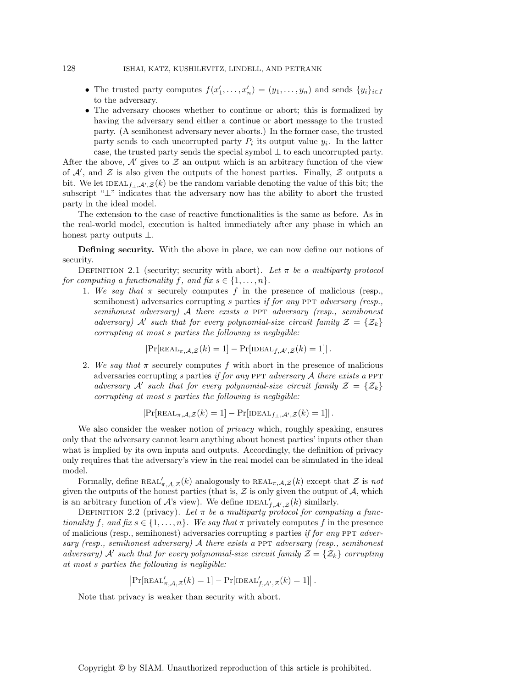- The trusted party computes  $f(x'_1, \ldots, x'_n) = (y_1, \ldots, y_n)$  and sends  $\{y_i\}_{i \in I}$ to the adversary.
- The adversary chooses whether to continue or abort; this is formalized by having the adversary send either a continue or abort message to the trusted party. (A semihonest adversary never aborts.) In the former case, the trusted party sends to each uncorrupted party  $P_i$  its output value  $y_i$ . In the latter case, the trusted party sends the special symbol  $\perp$  to each uncorrupted party.

After the above,  $\mathcal{A}'$  gives to  $\mathcal Z$  an output which is an arbitrary function of the view of  $\mathcal{A}'$ , and  $\mathcal Z$  is also given the outputs of the honest parties. Finally,  $\mathcal Z$  outputs a bit. We let  $\text{IDEAL}_{f\perp,\mathcal{A}',\mathcal{Z}}(k)$  be the random variable denoting the value of this bit; the subscript "⊥" indicates that the adversary now has the ability to abort the trusted party in the ideal model.

The extension to the case of reactive functionalities is the same as before. As in the real-world model, execution is halted immediately after any phase in which an honest party outputs ⊥.

**Defining security.** With the above in place, we can now define our notions of security.

DEFINITION 2.1 (security; security with abort). Let  $\pi$  be a multiparty protocol *for computing a functionality* f*, and fix*  $s \in \{1, \ldots, n\}$ *.* 

1. We say that  $\pi$  securely computes f in the presence of malicious (resp., semihonest) adversaries corrupting s parties *if for any* PPT *adversary (resp.*, *semihonest adversary)* A *there exists a* ppt *adversary (resp., semihonest adversary*) A' such that for every polynomial-size circuit family  $\mathcal{Z} = {\mathcal{Z}_k}$ *corrupting at most* s *parties the following is negligible:*

$$
\left|\Pr[\text{real}_{\pi,\mathcal{A},\mathcal{Z}}(k)=1]-\Pr[\text{ideal}_{f,\mathcal{A}',\mathcal{Z}}(k)=1]\right|.
$$

2. We say that  $\pi$  securely computes f with abort in the presence of malicious adversaries corrupting s parties *if for any* ppt *adversary* A *there exists a* ppt *adversary*  $\mathcal{A}'$  *such that for every polynomial-size circuit family*  $\mathcal{Z} = {\mathcal{Z}_k}$ *corrupting at most* s *parties the following is negligible:*

$$
\left|\Pr[\text{real}_{\pi,\mathcal{A},\mathcal{Z}}(k)=1]-\Pr[\text{ideal}_{f_\bot,\mathcal{A}',\mathcal{Z}}(k)=1]\right|.
$$

We also consider the weaker notion of *privacy* which, roughly speaking, ensures only that the adversary cannot learn anything about honest parties' inputs other than what is implied by its own inputs and outputs. Accordingly, the definition of privacy only requires that the adversary's view in the real model can be simulated in the ideal model.

Formally, define  $REAL'_{\pi,A,\mathcal{Z}}(k)$  analogously to  $REAL_{\pi,A,\mathcal{Z}}(k)$  except that  $\mathcal Z$  is *not* given the outputs of the honest parties (that is,  $\mathcal Z$  is only given the output of  $\mathcal A$ , which is an arbitrary function of  $\mathcal{A}$ 's view). We define IDEAL', $\mathcal{A}', \mathcal{Z}(k)$  similarly.

DEFINITION 2.2 (privacy). Let  $\pi$  be a multiparty protocol for computing a func*tionality* f, and fix  $s \in \{1, ..., n\}$ . We say that  $\pi$  privately computes f in the presence of malicious (resp., semihonest) adversaries corrupting s parties *if for any* ppt *adversary (resp., semihonest adversary)* A *there exists a* PPT *adversary (resp., semihonest adversary*) A' such that for every polynomial-size circuit family  $\mathcal{Z} = \{Z_k\}$  corrupting *at most* s *parties the following is negligible:*

$$
\left|\Pr[\text{realL}'_{\pi,\mathcal{A},\mathcal{Z}}(k)=1]-\Pr[\text{IDEAL}'_{f,\mathcal{A}',\mathcal{Z}}(k)=1]\right|.
$$

Note that privacy is weaker than security with abort.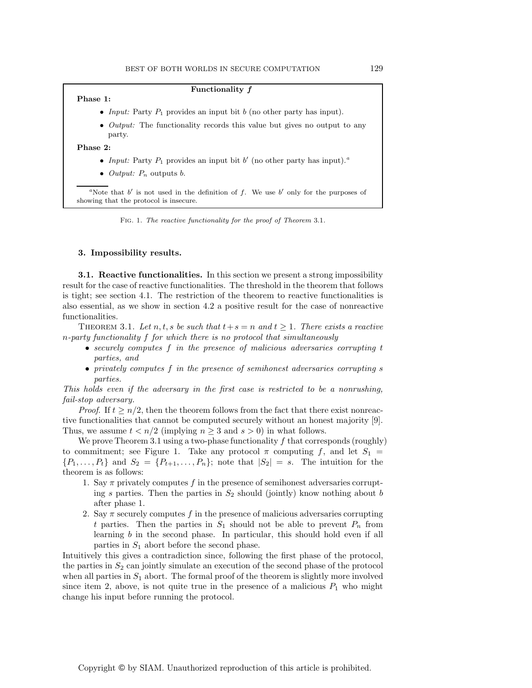

Fig. 1. The reactive functionality for the proof of Theorem 3.1.

## **3. Impossibility results.**

**3.1. Reactive functionalities.** In this section we present a strong impossibility result for the case of reactive functionalities. The threshold in the theorem that follows is tight; see section 4.1. The restriction of the theorem to reactive functionalities is also essential, as we show in section 4.2 a positive result for the case of nonreactive functionalities.

THEOREM 3.1. Let  $n, t, s$  be such that  $t+s=n$  and  $t\geq 1$ . There exists a reactive n*-party functionality* f *for which there is no protocol that simultaneously*

- *securely computes* f *in the presence of malicious adversaries corrupting* t *parties, and*
- *privately computes* f *in the presence of semihonest adversaries corrupting* s *parties.*

*This holds even if the adversary in the first case is restricted to be a nonrushing, fail-stop adversary.*

*Proof.* If  $t \geq n/2$ , then the theorem follows from the fact that there exist nonreactive functionalities that cannot be computed securely without an honest majority [9]. Thus, we assume  $t < n/2$  (implying  $n \geq 3$  and  $s > 0$ ) in what follows.

We prove Theorem 3.1 using a two-phase functionality  $f$  that corresponds (roughly) to commitment; see Figure 1. Take any protocol  $\pi$  computing f, and let  $S_1 =$  $\{P_1,\ldots,P_t\}$  and  $S_2 = \{P_{t+1},\ldots,P_n\}$ ; note that  $|S_2| = s$ . The intuition for the theorem is as follows:

- 1. Say  $\pi$  privately computes f in the presence of semihonest adversaries corrupting s parties. Then the parties in  $S_2$  should (jointly) know nothing about b after phase 1.
- 2. Say  $\pi$  securely computes f in the presence of malicious adversaries corrupting t parties. Then the parties in  $S_1$  should not be able to prevent  $P_n$  from learning b in the second phase. In particular, this should hold even if all parties in  $S_1$  abort before the second phase.

Intuitively this gives a contradiction since, following the first phase of the protocol, the parties in  $S_2$  can jointly simulate an execution of the second phase of the protocol when all parties in  $S_1$  abort. The formal proof of the theorem is slightly more involved since item 2, above, is not quite true in the presence of a malicious  $P_1$  who might change his input before running the protocol.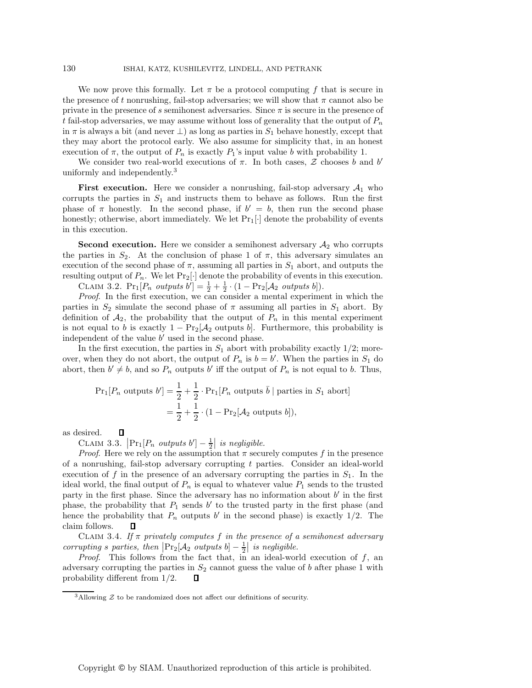We now prove this formally. Let  $\pi$  be a protocol computing f that is secure in the presence of t nonrushing, fail-stop adversaries; we will show that  $\pi$  cannot also be private in the presence of s semihonest adversaries. Since  $\pi$  is secure in the presence of t fail-stop adversaries, we may assume without loss of generality that the output of  $P_n$ in  $\pi$  is always a bit (and never  $\perp$ ) as long as parties in  $S_1$  behave honestly, except that they may abort the protocol early. We also assume for simplicity that, in an honest execution of  $\pi$ , the output of  $P_n$  is exactly  $P_1$ 's input value b with probability 1.

We consider two real-world executions of  $\pi$ . In both cases, Z chooses b and b' uniformly and independently.<sup>3</sup>

**First execution.** Here we consider a nonrushing, fail-stop adversary  $A_1$  who corrupts the parties in  $S_1$  and instructs them to behave as follows. Run the first phase of  $\pi$  honestly. In the second phase, if  $b' = b$ , then run the second phase honestly; otherwise, abort immediately. We let  $Pr_1[\cdot]$  denote the probability of events in this execution.

**Second execution.** Here we consider a semihonest adversary  $A_2$  who corrupts the parties in  $S_2$ . At the conclusion of phase 1 of  $\pi$ , this adversary simulates an execution of the second phase of  $\pi$ , assuming all parties in  $S_1$  abort, and outputs the resulting output of  $P_n$ . We let  $\Pr_2[\cdot]$  denote the probability of events in this execution.

CLAIM 3.2.  $Pr_1[P_n \text{ outputs } b'] = \frac{1}{2} + \frac{1}{2} \cdot (1 - Pr_2[A_2 \text{ outputs } b]).$ 

*Proof*. In the first execution, we can consider a mental experiment in which the parties in  $S_2$  simulate the second phase of  $\pi$  assuming all parties in  $S_1$  abort. By definition of  $A_2$ , the probability that the output of  $P_n$  in this mental experiment is not equal to b is exactly  $1 - \Pr_2[\mathcal{A}_2]$  outputs b. Furthermore, this probability is independent of the value  $b'$  used in the second phase.

In the first execution, the parties in  $S_1$  abort with probability exactly  $1/2$ ; moreover, when they do not abort, the output of  $P_n$  is  $b = b'$ . When the parties in  $S_1$  do abort, then  $b' \neq b$ , and so  $P_n$  outputs b' iff the output of  $P_n$  is not equal to b. Thus,

$$
\Pr_1[P_n \text{ outputs } b'] = \frac{1}{2} + \frac{1}{2} \cdot \Pr_1[P_n \text{ outputs } \bar{b} \mid \text{parts in } S_1 \text{ abort}]
$$

$$
= \frac{1}{2} + \frac{1}{2} \cdot (1 - \Pr_2[A_2 \text{ outputs } b]),
$$

as desired. П

CLAIM 3.3.  $\left|\Pr_1[P_n \text{ outputs } b'] - \frac{1}{2}\right|$  is negligible.

*Proof.* Here we rely on the assumption that  $\pi$  securely computes f in the presence of a nonrushing, fail-stop adversary corrupting t parties. Consider an ideal-world execution of f in the presence of an adversary corrupting the parties in  $S_1$ . In the ideal world, the final output of  $P_n$  is equal to whatever value  $P_1$  sends to the trusted party in the first phase. Since the adversary has no information about  $b'$  in the first phase, the probability that  $P_1$  sends  $b'$  to the trusted party in the first phase (and hence the probability that  $P_n$  outputs b' in the second phase) is exactly 1/2. The claim follows.  $\Box$ 

Claim 3.4. *If* π *privately computes* f *in the presence of a semihonest adversary corrupting s* parties, then  $\left|\Pr_2[\mathcal{A}_2 \text{ outputs } b] - \frac{1}{2}\right|$  is negligible.

*Proof.* This follows from the fact that, in an ideal-world execution of f, an adversary corrupting the parties in  $S_2$  cannot guess the value of b after phase 1 with probability different from 1/2. 0

 $3$ Allowing  $Z$  to be randomized does not affect our definitions of security.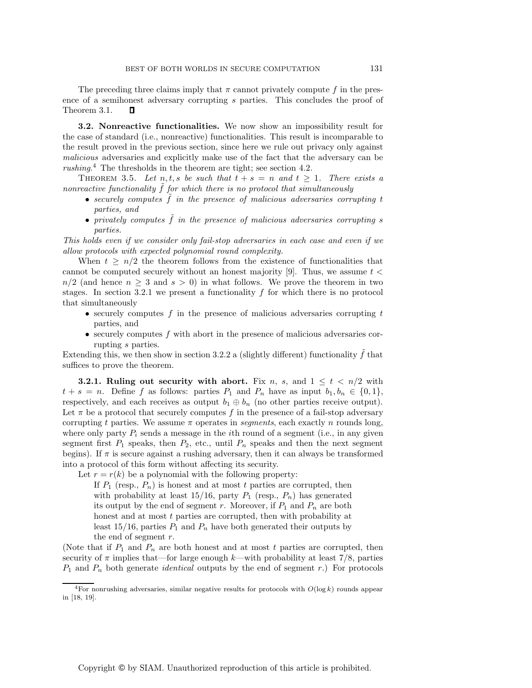The preceding three claims imply that  $\pi$  cannot privately compute f in the presence of a semihonest adversary corrupting s parties. This concludes the proof of Theorem 3.1.  $\Box$ 

**3.2. Nonreactive functionalities.** We now show an impossibility result for the case of standard (i.e., nonreactive) functionalities. This result is incomparable to the result proved in the previous section, since here we rule out privacy only against *malicious* adversaries and explicitly make use of the fact that the adversary can be *rushing*.<sup>4</sup> The thresholds in the theorem are tight; see section 4.2.

THEOREM 3.5. Let n, t, s be such that  $t + s = n$  and  $t > 1$ . There exists a *nonreactive functionality* f *for which there is no protocol that simultaneously* 

- *securely computes*  $f$  *in the presence of malicious adversaries corrupting*  $t$ *parties, and*
- *privately computes*  $\tilde{f}$  *in the presence of malicious adversaries corrupting* s *parties.*

*This holds even if we consider only fail-stop adversaries in each case and even if we allow protocols with expected polynomial round complexity.*

When  $t \geq n/2$  the theorem follows from the existence of functionalities that cannot be computed securely without an honest majority [9]. Thus, we assume  $t <$  $n/2$  (and hence  $n > 3$  and  $s > 0$ ) in what follows. We prove the theorem in two stages. In section 3.2.1 we present a functionality f for which there is no protocol that simultaneously

- securely computed f in the presence of malicious adversaries corrupting  $t$ parties, and
- $\bullet$  securely computes  $f$  with abort in the presence of malicious adversaries corrupting s parties.

Extending this, we then show in section 3.2.2 a (slightly different) functionality  $\tilde{f}$  that suffices to prove the theorem.

**3.2.1. Ruling out security with abort.** Fix n, s, and  $1 \le t \le n/2$  with  $t + s = n$ . Define f as follows: parties  $P_1$  and  $P_n$  have as input  $b_1, b_n \in \{0, 1\}$ , respectively, and each receives as output  $b_1 \oplus b_n$  (no other parties receive output). Let  $\pi$  be a protocol that securely computes f in the presence of a fail-stop adversary corrupting t parties. We assume  $\pi$  operates in *segments*, each exactly n rounds long, where only party  $P_i$  sends a message in the *i*th round of a segment (i.e., in any given segment first  $P_1$  speaks, then  $P_2$ , etc., until  $P_n$  speaks and then the next segment begins). If  $\pi$  is secure against a rushing adversary, then it can always be transformed into a protocol of this form without affecting its security.

Let  $r = r(k)$  be a polynomial with the following property:

If  $P_1$  (resp.,  $P_n$ ) is honest and at most t parties are corrupted, then with probability at least  $15/16$ , party  $P_1$  (resp.,  $P_n$ ) has generated its output by the end of segment r. Moreover, if  $P_1$  and  $P_n$  are both honest and at most t parties are corrupted, then with probability at least 15/16, parties  $P_1$  and  $P_n$  have both generated their outputs by the end of segment  $r$ .

(Note that if  $P_1$  and  $P_n$  are both honest and at most t parties are corrupted, then security of  $\pi$  implies that—for large enough k—with probability at least 7/8, parties  $P_1$  and  $P_n$  both generate *identical* outputs by the end of segment r.) For protocols

<sup>&</sup>lt;sup>4</sup>For nonrushing adversaries, similar negative results for protocols with  $O(\log k)$  rounds appear in [18, 19].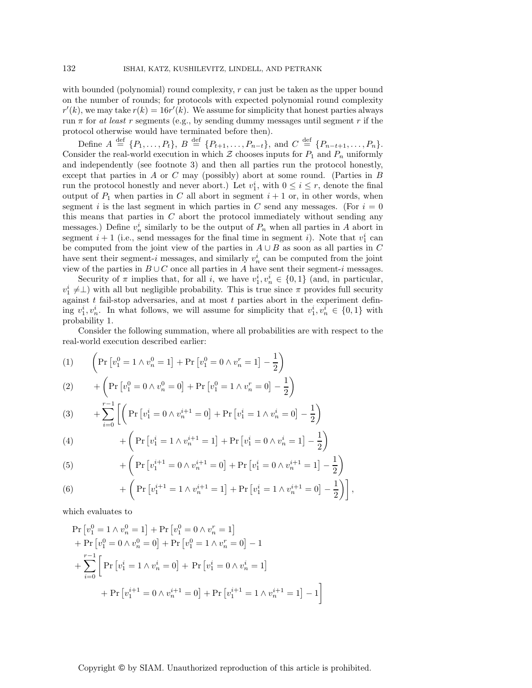with bounded (polynomial) round complexity,  $r$  can just be taken as the upper bound on the number of rounds; for protocols with expected polynomial round complexity  $r'(k)$ , we may take  $r(k) = 16r'(k)$ . We assume for simplicity that honest parties always run  $\pi$  for *at least* r segments (e.g., by sending dummy messages until segment r if the protocol otherwise would have terminated before then).

Define  $A \stackrel{\text{def}}{=} \{P_1, \ldots, P_t\}, B \stackrel{\text{def}}{=} \{P_{t+1}, \ldots, P_{n-t}\}, \text{ and } C \stackrel{\text{def}}{=} \{P_{n-t+1}, \ldots, P_n\}.$ Consider the real-world execution in which  $\mathcal Z$  chooses inputs for  $P_1$  and  $P_n$  uniformly and independently (see footnote 3) and then all parties run the protocol honestly, except that parties in  $A$  or  $C$  may (possibly) abort at some round. (Parties in  $B$ run the protocol honestly and never abort.) Let  $v_1^i$ , with  $0 \le i \le r$ , denote the final output of  $P_1$  when parties in C all abort in segment  $i + 1$  or, in other words, when segment i is the last segment in which parties in C send any messages. (For  $i = 0$ this means that parties in C abort the protocol immediately without sending any messages.) Define  $v_n^i$  similarly to be the output of  $P_n$  when all parties in A abort in segment  $i+1$  (i.e., send messages for the final time in segment i). Note that  $v_1^i$  can be computed from the joint view of the parties in  $A \cup B$  as soon as all parties in C have sent their segment-*i* messages, and similarly  $v_n^i$  can be computed from the joint view of the parties in  $B\cup C$  once all parties in A have sent their segment-i messages.

Security of  $\pi$  implies that, for all i, we have  $v_1^i, v_n^i \in \{0,1\}$  (and, in particular,  $v_1^i \neq \perp$ ) with all but negligible probability. This is true since  $\pi$  provides full security against  $t$  fail-stop adversaries, and at most  $t$  parties abort in the experiment defining  $v_1^i, v_n^i$ . In what follows, we will assume for simplicity that  $v_1^i, v_n^i \in \{0,1\}$  with probability 1.

Consider the following summation, where all probabilities are with respect to the real-world execution described earlier:

(1) 
$$
\left(\Pr[v_1^0 = 1 \land v_n^0 = 1] + \Pr[v_1^0 = 0 \land v_n^r = 1] - \frac{1}{2}\right)
$$

(2) 
$$
+ \left( \Pr \left[ v_1^0 = 0 \wedge v_n^0 = 0 \right] + \Pr \left[ v_1^0 = 1 \wedge v_n^r = 0 \right] - \frac{1}{2} \right)
$$

(3) 
$$
+ \sum_{i=0}^{r-1} \left[ \left( \Pr \left[ v_1^i = 0 \wedge v_n^{i+1} = 0 \right] + \Pr \left[ v_1^i = 1 \wedge v_n^i = 0 \right] - \frac{1}{2} \right) \right]
$$

(4) 
$$
+ \left( \Pr \left[ v_1^i = 1 \wedge v_n^{i+1} = 1 \right] + \Pr \left[ v_1^i = 0 \wedge v_n^i = 1 \right] - \frac{1}{2} \right)
$$

(5) 
$$
+ \left( \Pr \left[ v_1^{i+1} = 0 \wedge v_n^{i+1} = 0 \right] + \Pr \left[ v_1^i = 0 \wedge v_n^{i+1} = 1 \right] - \frac{1}{2} \right)
$$

(6) 
$$
+ \left( \Pr \left[ v_1^{i+1} = 1 \wedge v_n^{i+1} = 1 \right] + \Pr \left[ v_1^{i} = 1 \wedge v_n^{i+1} = 0 \right] - \frac{1}{2} \right) \right],
$$

which evaluates to

$$
\Pr[v_1^0 = 1 \land v_n^0 = 1] + \Pr[v_1^0 = 0 \land v_n^r = 1] \n+ \Pr[v_1^0 = 0 \land v_n^0 = 0] + \Pr[v_1^0 = 1 \land v_n^r = 0] - 1 \n+ \sum_{i=0}^{r-1} \left[ \Pr[v_1^i = 1 \land v_n^i = 0] + \Pr[v_1^i = 0 \land v_n^i = 1] \right. \n+ \Pr[v_1^{i+1} = 0 \land v_n^{i+1} = 0] + \Pr[v_1^{i+1} = 1 \land v_n^{i+1} = 1] - 1 \right]
$$

## Copyright © by SIAM. Unauthorized reproduction of this article is prohibited.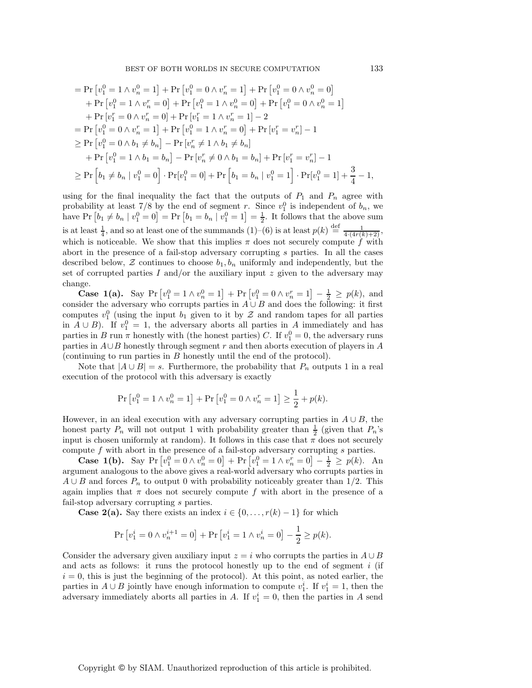$$
= \Pr [v_1^0 = 1 \land v_n^0 = 1] + \Pr [v_1^0 = 0 \land v_n^r = 1] + \Pr [v_1^0 = 0 \land v_n^0 = 0]
$$
  
+ 
$$
\Pr [v_1^0 = 1 \land v_n^r = 0] + \Pr [v_1^0 = 1 \land v_n^0 = 0] + \Pr [v_1^0 = 0 \land v_n^0 = 1]
$$
  
+ 
$$
\Pr [v_1^r = 0 \land v_n^r = 0] + \Pr [v_1^r = 1 \land v_n^r = 1] - 2
$$
  
= 
$$
\Pr [v_1^0 = 0 \land v_n^r = 1] + \Pr [v_1^0 = 1 \land v_n^r = 0] + \Pr [v_1^r = v_n^r] - 1
$$
  

$$
\geq \Pr [v_1^0 = 0 \land b_1 \neq b_n] - \Pr [v_n^r \neq 1 \land b_1 \neq b_n]
$$
  
+ 
$$
\Pr [v_1^0 = 1 \land b_1 = b_n] - \Pr [v_n^r \neq 0 \land b_1 = b_n] + \Pr [v_1^r = v_n^r] - 1
$$
  

$$
\geq \Pr [b_1 \neq b_n | v_1^0 = 0] \cdot \Pr [v_1^0 = 0] + \Pr [b_1 = b_n | v_1^0 = 1] \cdot \Pr [v_1^0 = 1] + \frac{3}{4} - 1,
$$

using for the final inequality the fact that the outputs of  $P_1$  and  $P_n$  agree with probability at least  $7/8$  by the end of segment r. Since  $v_1^0$  is independent of  $b_n$ , we have Pr  $\begin{bmatrix} b_1 \neq b_n \end{bmatrix}$   $v_1^0 = 0$  = Pr  $\begin{bmatrix} b_1 = b_n \end{bmatrix}$   $v_1^0 = 1$  =  $\frac{1}{2}$ . It follows that the above sum is at least  $\frac{1}{4}$ , and so at least one of the summands  $(1)-(6)$  is at least  $p(k) \stackrel{\text{def}}{=} \frac{1}{4 \cdot (4r(k)+2)}$ , which is noticeable. We show that this implies  $\pi$  does not securely compute  $\hat{f}$  with abort in the presence of a fail-stop adversary corrupting s parties. In all the cases described below,  $\mathcal Z$  continues to choose  $b_1, b_n$  uniformly and independently, but the set of corrupted parties I and/or the auxiliary input  $z$  given to the adversary may change.

**Case 1(a).** Say Pr  $[v_1^0 = 1 \wedge v_n^0 = 1] + Pr[v_1^0 = 0 \wedge v_n^r = 1] - \frac{1}{2} \ge p(k)$ , and consider the adversary who corrupts parties in  $A \cup B$  and does the following: it first computes  $v_1^0$  (using the input  $b_1$  given to it by  $\mathcal Z$  and random tapes for all parties in  $A \cup B$ ). If  $v_1^0 = 1$ , the adversary aborts all parties in A immediately and has parties in B run  $\pi$  honestly with (the honest parties) C. If  $v_1^0 = 0$ , the adversary runs parties in  $A\cup B$  honestly through segment r and then aborts execution of players in A (continuing to run parties in B honestly until the end of the protocol).

Note that  $|A \cup B| = s$ . Furthermore, the probability that  $P_n$  outputs 1 in a real execution of the protocol with this adversary is exactly

$$
\Pr[v_1^0 = 1 \land v_n^0 = 1] + \Pr[v_1^0 = 0 \land v_n^r = 1] \ge \frac{1}{2} + p(k).
$$

However, in an ideal execution with any adversary corrupting parties in  $A \cup B$ , the honest party  $P_n$  will not output 1 with probability greater than  $\frac{1}{2}$  (given that  $P_n$ 's input is chosen uniformly at random). It follows in this case that  $\pi$  does not securely compute f with abort in the presence of a fail-stop adversary corrupting s parties.

**Case 1(b).** Say Pr  $[v_1^0 = 0 \wedge v_n^0 = 0] + Pr[v_1^0 = 1 \wedge v_n^r = 0] - \frac{1}{2} \ge p(k)$ . An argument analogous to the above gives a real-world adversary who corrupts parties in  $A \cup B$  and forces  $P_n$  to output 0 with probability noticeably greater than 1/2. This again implies that  $\pi$  does not securely compute f with abort in the presence of a fail-stop adversary corrupting s parties.

**Case 2(a).** Say there exists an index  $i \in \{0, \ldots, r(k) - 1\}$  for which

$$
\Pr\left[v_1^i = 0 \land v_n^{i+1} = 0\right] + \Pr\left[v_1^i = 1 \land v_n^i = 0\right] - \frac{1}{2} \ge p(k).
$$

Consider the adversary given auxiliary input  $z = i$  who corrupts the parties in  $A \cup B$ and acts as follows: it runs the protocol honestly up to the end of segment  $i$  (if  $i = 0$ , this is just the beginning of the protocol). At this point, as noted earlier, the parties in  $A \cup B$  jointly have enough information to compute  $v_1^i$ . If  $v_1^i = 1$ , then the adversary immediately aborts all parties in A. If  $v_1^i = 0$ , then the parties in A send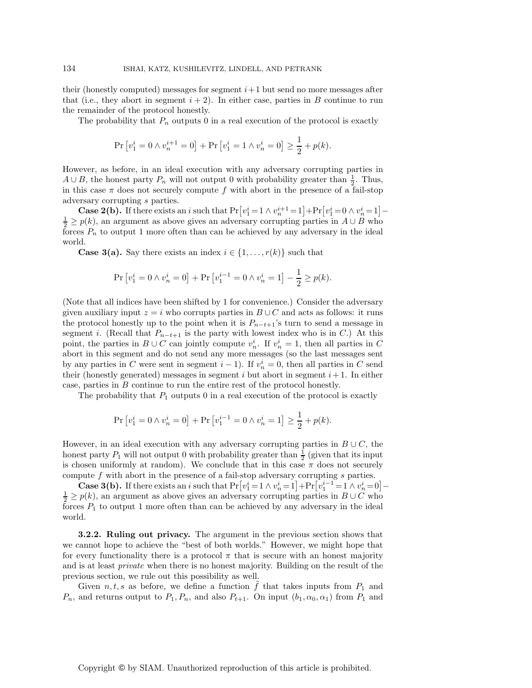their (honestly computed) messages for segment  $i+1$  but send no more messages after that (i.e., they abort in segment  $i + 2$ ). In either case, parties in B continue to run the remainder of the protocol honestly.

The probability that  $P_n$  outputs 0 in a real execution of the protocol is exactly

$$
\Pr[v_1^i = 0 \land v_n^{i+1} = 0] + \Pr[v_1^i = 1 \land v_n^i = 0] \ge \frac{1}{2} + p(k).
$$

However, as before, in an ideal execution with any adversary corrupting parties in  $A \cup B$ , the honest party  $P_n$  will not output 0 with probability greater than  $\frac{1}{2}$ . Thus, in this case  $\pi$  does not securely compute f with abort in the presence of a fail-stop adversary corrupting s parties.

**Case 2(b).** If there exists an i such that  $Pr[v_1^i = 1 \wedge v_n^{i+1} = 1] + Pr[v_1^i = 0 \wedge v_n^i = 1] \frac{1}{2} \geq p(k)$ , an argument as above gives an adversary corrupting parties in  $A \cup B$  who forces  $P_n$  to output 1 more often than can be achieved by any adversary in the ideal world.

**Case 3(a).** Say there exists an index  $i \in \{1, \ldots, r(k)\}\$  such that

$$
\Pr\left[v_1^i = 0 \land v_n^i = 0\right] + \Pr\left[v_1^{i-1} = 0 \land v_n^i = 1\right] - \frac{1}{2} \ge p(k).
$$

(Note that all indices have been shifted by 1 for convenience.) Consider the adversary given auxiliary input  $z = i$  who corrupts parties in  $B \cup C$  and acts as follows: it runs the protocol honestly up to the point when it is  $P_{n-t+1}$ 's turn to send a message in segment *i*. (Recall that  $P_{n-t+1}$  is the party with lowest index who is in C.) At this point, the parties in  $B \cup C$  can jointly compute  $v_n^i$ . If  $v_n^i = 1$ , then all parties in C abort in this segment and do not send any more messages (so the last messages sent by any parties in C were sent in segment  $i - 1$ ). If  $v_n^i = 0$ , then all parties in C send their (honestly generated) messages in segment i but abort in segment  $i+1$ . In either case, parties in B continue to run the entire rest of the protocol honestly.

The probability that  $P_1$  outputs 0 in a real execution of the protocol is exactly

$$
\Pr\left[v_1^i = 0 \land v_n^i = 0\right] + \Pr\left[v_1^{i-1} = 0 \land v_n^i = 1\right] \ge \frac{1}{2} + p(k).
$$

However, in an ideal execution with any adversary corrupting parties in  $B \cup C$ , the honest party  $P_1$  will not output 0 with probability greater than  $\frac{1}{2}$  (given that its input is chosen uniformly at random). We conclude that in this case  $\pi$  does not securely compute f with abort in the presence of a fail-stop adversary corrupting s parties.

**Case 3(b).** If there exists an *i* such that  $Pr[v_1^i = 1 \wedge v_n^i = 1] + Pr[v_1^{i-1} = 1 \wedge v_n^i = 0] \frac{1}{2} \geq p(k)$ , an argument as above gives an adversary corrupting parties in  $B \cup C$  who forces  $P_1$  to output 1 more often than can be achieved by any adversary in the ideal world.

**3.2.2. Ruling out privacy.** The argument in the previous section shows that we cannot hope to achieve the "best of both worlds." However, we might hope that for every functionality there is a protocol  $\pi$  that is secure with an honest majority and is at least *private* when there is no honest majority. Building on the result of the previous section, we rule out this possibility as well.

Given  $n, t, s$  as before, we define a function f that takes inputs from  $P_1$  and  $P_n$ , and returns output to  $P_1, P_n$ , and also  $P_{t+1}$ . On input  $(b_1, \alpha_0, \alpha_1)$  from  $P_1$  and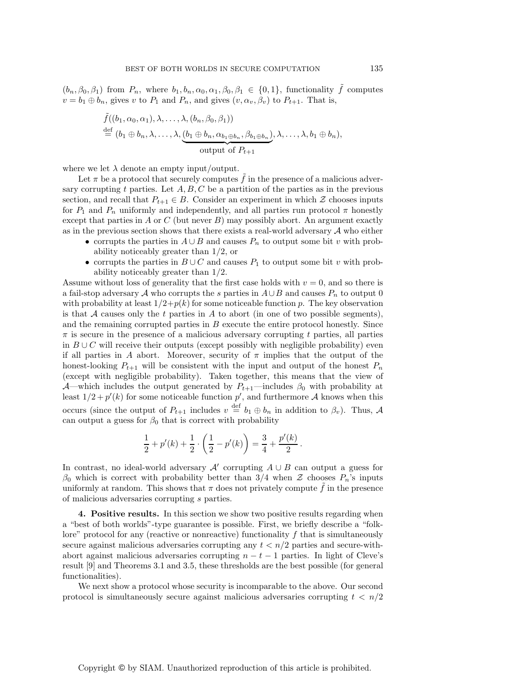$(b_n, \beta_0, \beta_1)$  from  $P_n$ , where  $b_1, b_n, \alpha_0, \alpha_1, \beta_0, \beta_1 \in \{0, 1\}$ , functionality  $\tilde{f}$  computes  $v = b_1 \oplus b_n$ , gives v to  $P_1$  and  $P_n$ , and gives  $(v, \alpha_v, \beta_v)$  to  $P_{t+1}$ . That is,

$$
\tilde{f}((b_1, \alpha_0, \alpha_1), \lambda, \ldots, \lambda, (b_n, \beta_0, \beta_1))
$$
\n
$$
\stackrel{\text{def}}{=} (b_1 \oplus b_n, \lambda, \ldots, \lambda, \underbrace{(b_1 \oplus b_n, \alpha_{b_1 \oplus b_n}, \beta_{b_1 \oplus b_n})}, \lambda, \ldots, \lambda, b_1 \oplus b_n),
$$
\n
$$
\text{output of } P_{t+1}
$$

where we let  $\lambda$  denote an empty input/output.

Let  $\pi$  be a protocol that securely computes f in the presence of a malicious adversary corrupting t parties. Let  $A, B, C$  be a partition of the parties as in the previous section, and recall that  $P_{t+1} \in B$ . Consider an experiment in which  $\mathcal Z$  chooses inputs for  $P_1$  and  $P_n$  uniformly and independently, and all parties run protocol  $\pi$  honestly except that parties in  $A$  or  $C$  (but never  $B$ ) may possibly abort. An argument exactly as in the previous section shows that there exists a real-world adversary  $A$  who either

- corrupts the parties in  $A \cup B$  and causes  $P_n$  to output some bit v with probability noticeably greater than 1/2, or
- corrupts the parties in  $B\cup C$  and causes  $P_1$  to output some bit v with probability noticeably greater than 1/2.

Assume without loss of generality that the first case holds with  $v = 0$ , and so there is a fail-stop adversary A who corrupts the s parties in  $A\cup B$  and causes  $P_n$  to output 0 with probability at least  $1/2+p(k)$  for some noticeable function p. The key observation is that  $A$  causes only the t parties in  $A$  to abort (in one of two possible segments), and the remaining corrupted parties in  $B$  execute the entire protocol honestly. Since  $\pi$  is secure in the presence of a malicious adversary corrupting t parties, all parties in  $B \cup C$  will receive their outputs (except possibly with negligible probability) even if all parties in A abort. Moreover, security of  $\pi$  implies that the output of the honest-looking  $P_{t+1}$  will be consistent with the input and output of the honest  $P_n$ (except with negligible probability). Taken together, this means that the view of A—which includes the output generated by  $P_{t+1}$ —includes  $\beta_0$  with probability at least  $1/2 + p'(k)$  for some noticeable function  $p'$ , and furthermore A knows when this occurs (since the output of  $P_{t+1}$  includes  $v \stackrel{\text{def}}{=} b_1 \oplus b_n$  in addition to  $\beta_v$ ). Thus, A can output a guess for  $\beta_0$  that is correct with probability

$$
\frac{1}{2} + p'(k) + \frac{1}{2} \cdot \left( \frac{1}{2} - p'(k) \right) = \frac{3}{4} + \frac{p'(k)}{2}.
$$

In contrast, no ideal-world adversary  $A'$  corrupting  $A \cup B$  can output a guess for  $\beta_0$  which is correct with probability better than 3/4 when  $\mathcal Z$  chooses  $P_n$ 's inputs uniformly at random. This shows that  $\pi$  does not privately compute f in the presence of malicious adversaries corrupting s parties.

**4. Positive results.** In this section we show two positive results regarding when a "best of both worlds"-type guarantee is possible. First, we briefly describe a "folklore" protocol for any (reactive or nonreactive) functionality  $f$  that is simultaneously secure against malicious adversaries corrupting any  $t < n/2$  parties and secure-withabort against malicious adversaries corrupting  $n - t - 1$  parties. In light of Cleve's result [9] and Theorems 3.1 and 3.5, these thresholds are the best possible (for general functionalities).

We next show a protocol whose security is incomparable to the above. Our second protocol is simultaneously secure against malicious adversaries corrupting  $t < n/2$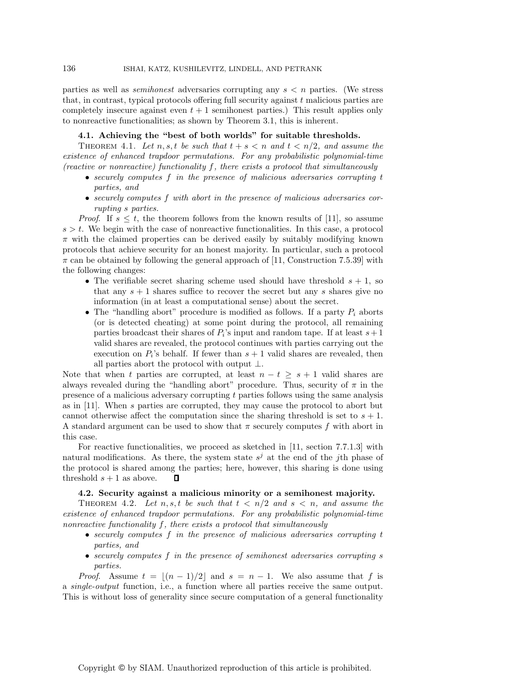parties as well as *semihonest* adversaries corrupting any  $s < n$  parties. (We stress that, in contrast, typical protocols offering full security against  $t$  malicious parties are completely insecure against even  $t + 1$  semihonest parties.) This result applies only to nonreactive functionalities; as shown by Theorem 3.1, this is inherent.

## **4.1. Achieving the "best of both worlds" for suitable thresholds.**

THEOREM 4.1. Let n, s, t be such that  $t + s < n$  and  $t < n/2$ , and assume the *existence of enhanced trapdoor permutations. For any probabilistic polynomial-time (reactive or nonreactive) functionality* f*, there exists a protocol that simultaneously*

- *securely computes* f *in the presence of malicious adversaries corrupting* t *parties, and*
- *securely computes* f *with abort in the presence of malicious adversaries corrupting* s *parties.*

*Proof.* If  $s \leq t$ , the theorem follows from the known results of [11], so assume  $s>t$ . We begin with the case of nonreactive functionalities. In this case, a protocol  $\pi$  with the claimed properties can be derived easily by suitably modifying known protocols that achieve security for an honest majority. In particular, such a protocol  $\pi$  can be obtained by following the general approach of [11, Construction 7.5.39] with the following changes:

- The verifiable secret sharing scheme used should have threshold  $s + 1$ , so that any  $s + 1$  shares suffice to recover the secret but any s shares give no information (in at least a computational sense) about the secret.
- The "handling abort" procedure is modified as follows. If a party  $P_i$  aborts (or is detected cheating) at some point during the protocol, all remaining parties broadcast their shares of  $P_i$ 's input and random tape. If at least  $s+1$ valid shares are revealed, the protocol continues with parties carrying out the execution on  $P_i$ 's behalf. If fewer than  $s + 1$  valid shares are revealed, then all parties abort the protocol with output  $\perp$ .

Note that when t parties are corrupted, at least  $n - t \geq s + 1$  valid shares are always revealed during the "handling abort" procedure. Thus, security of  $\pi$  in the presence of a malicious adversary corrupting t parties follows using the same analysis as in [11]. When s parties are corrupted, they may cause the protocol to abort but cannot otherwise affect the computation since the sharing threshold is set to  $s + 1$ . A standard argument can be used to show that  $\pi$  securely computes f with abort in this case.

For reactive functionalities, we proceed as sketched in [11, section 7.7.1.3] with natural modifications. As there, the system state  $s^j$  at the end of the jth phase of the protocol is shared among the parties; here, however, this sharing is done using threshold  $s + 1$  as above. П

## **4.2. Security against a malicious minority or a semihonest majority.**

THEOREM 4.2. Let  $n, s, t$  be such that  $t < n/2$  and  $s < n$ , and assume the *existence of enhanced trapdoor permutations. For any probabilistic polynomial-time nonreactive functionality* f*, there exists a protocol that simultaneously*

- *securely computes* f *in the presence of malicious adversaries corrupting* t *parties, and*
- *securely computes* f *in the presence of semihonest adversaries corrupting* s *parties.*

*Proof.* Assume  $t = \lfloor (n-1)/2 \rfloor$  and  $s = n-1$ . We also assume that f is a *single-output* function, i.e., a function where all parties receive the same output. This is without loss of generality since secure computation of a general functionality

Copyright © by SIAM. Unauthorized reproduction of this article is prohibited.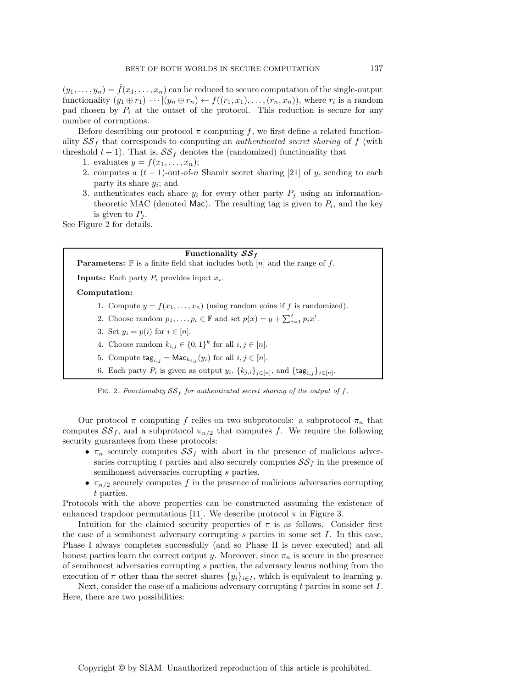$(y_1,\ldots,y_n)=f(x_1,\ldots,x_n)$  can be reduced to secure computation of the single-output functionality  $(y_1 \oplus r_1)| \cdots | (y_n \oplus r_n) \leftarrow f((r_1, x_1), \ldots, (r_n, x_n)),$  where  $r_i$  is a random pad chosen by  $P_i$  at the outset of the protocol. This reduction is secure for any number of corruptions.

Before describing our protocol  $\pi$  computing f, we first define a related functionality  $SS<sub>f</sub>$  that corresponds to computing an *authenticated secret sharing* of f (with threshold  $t + 1$ ). That is,  $SS<sub>f</sub>$  denotes the (randomized) functionality that

- 1. evaluates  $y = f(x_1, \ldots, x_n);$
- 2. computes a  $(t + 1)$ -out-of-n Shamir secret sharing [21] of y, sending to each party its share  $y_i$ ; and
- 3. authenticates each share  $y_i$  for every other party  $P_j$  using an informationtheoretic MAC (denoted Mac). The resulting tag is given to  $P_i$ , and the key is given to  $P_i$ .

See Figure 2 for details.



6. Each party  $P_i$  is given as output  $y_i$ ,  $\{k_{j,i}\}_{j \in [n]}$ , and  $\{\text{tag}_{i,j}\}_{j \in [n]}$ .

FIG. 2. Functionality  $SS_f$  for authenticated secret sharing of the output of f.

Our protocol  $\pi$  computing f relies on two subprotocols: a subprotocol  $\pi_n$  that computes  $SS_f$ , and a subprotocol  $\pi_{n/2}$  that computes f. We require the following security guarantees from these protocols:

- $\pi_n$  securely computes  $SS_f$  with abort in the presence of malicious adversaries corrupting t parties and also securely computes  $SS<sub>f</sub>$  in the presence of semihonest adversaries corrupting s parties.
- $\pi_{n/2}$  securely computes f in the presence of malicious adversaries corrupting t parties.

Protocols with the above properties can be constructed assuming the existence of enhanced trapdoor permutations [11]. We describe protocol  $\pi$  in Figure 3.

Intuition for the claimed security properties of  $\pi$  is as follows. Consider first the case of a semihonest adversary corrupting  $s$  parties in some set  $I$ . In this case, Phase I always completes successfully (and so Phase II is never executed) and all honest parties learn the correct output y. Moreover, since  $\pi_n$  is secure in the presence of semihonest adversaries corrupting s parties, the adversary learns nothing from the execution of  $\pi$  other than the secret shares  $\{y_i\}_{i\in I}$ , which is equivalent to learning y.

Next, consider the case of a malicious adversary corrupting  $t$  parties in some set  $I$ . Here, there are two possibilities: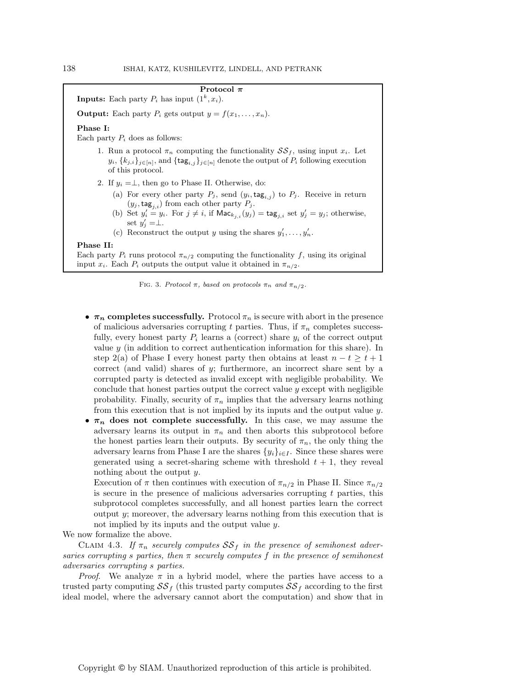### **Protocol** *π*

**Inputs:** Each party  $P_i$  has input  $(1^k, x_i)$ .

**Output:** Each party  $P_i$  gets output  $y = f(x_1, \ldots, x_n)$ .

## **Phase I:**

Each party  $P_i$  does as follows:

- 1. Run a protocol  $\pi_n$  computing the functionality  $SS_f$ , using input  $x_i$ . Let  $y_i$ ,  $\{k_{j,i}\}_{j\in[n]}$ , and  $\{\text{tag}_{i,j}\}_{j\in[n]}$  denote the output of  $P_i$  following execution of this protocol.
- 2. If  $y_i = \perp$ , then go to Phase II. Otherwise, do:
	- (a) For every other party  $P_j$ , send  $(y_i, \text{tag}_{i,j})$  to  $P_j$ . Receive in return  $(y_j, \text{tag}_{j,i})$  from each other party  $P_j$ .
	- (b) Set  $y'_i = y_i$ . For  $j \neq i$ , if  $\mathsf{Mac}_{k_{j,i}}(y_j) = \mathsf{tag}_{j,i}$  set  $y'_j = y_j$ ; otherwise, set  $y'_j = 1$ set  $y'_j = \perp$ .
	- (c) Reconstruct the output y using the shares  $y'_1, \ldots, y'_n$ .

#### **Phase II:**

Each party  $P_i$  runs protocol  $\pi_{n/2}$  computing the functionality  $f$ , using its original input  $x_i$ . Each  $P_i$  outputs the output value it obtained in  $\pi_{n/2}$ .

FIG. 3. Protocol  $\pi$ , based on protocols  $\pi_n$  and  $\pi_{n/2}$ .

- $\pi_n$  **completes successfully.** Protocol  $\pi_n$  is secure with abort in the presence of malicious adversaries corrupting t parties. Thus, if  $\pi_n$  completes successfully, every honest party  $P_i$  learns a (correct) share  $y_i$  of the correct output value  $y$  (in addition to correct authentication information for this share). In step 2(a) of Phase I every honest party then obtains at least  $n - t \geq t + 1$ correct (and valid) shares of y; furthermore, an incorrect share sent by a corrupted party is detected as invalid except with negligible probability. We conclude that honest parties output the correct value  $y$  except with negligible probability. Finally, security of  $\pi_n$  implies that the adversary learns nothing from this execution that is not implied by its inputs and the output value y.
- $\pi_n$  does not complete successfully. In this case, we may assume the adversary learns its output in  $\pi_n$  and then aborts this subprotocol before the honest parties learn their outputs. By security of  $\pi_n$ , the only thing the adversary learns from Phase I are the shares  $\{y_i\}_{i\in I}$ . Since these shares were generated using a secret-sharing scheme with threshold  $t + 1$ , they reveal nothing about the output y.

Execution of  $\pi$  then continues with execution of  $\pi_{n/2}$  in Phase II. Since  $\pi_{n/2}$ is secure in the presence of malicious adversaries corrupting  $t$  parties, this subprotocol completes successfully, and all honest parties learn the correct output y; moreover, the adversary learns nothing from this execution that is not implied by its inputs and the output value y.

We now formalize the above.

CLAIM 4.3. If  $\pi_n$  securely computes  $SS_f$  in the presence of semihonest adver*saries corrupting* s *parties, then* π *securely computes* f *in the presence of semihonest adversaries corrupting* s *parties.*

*Proof.* We analyze  $\pi$  in a hybrid model, where the parties have access to a trusted party computing  $S\mathcal{S}_f$  (this trusted party computes  $S\mathcal{S}_f$  according to the first ideal model, where the adversary cannot abort the computation) and show that in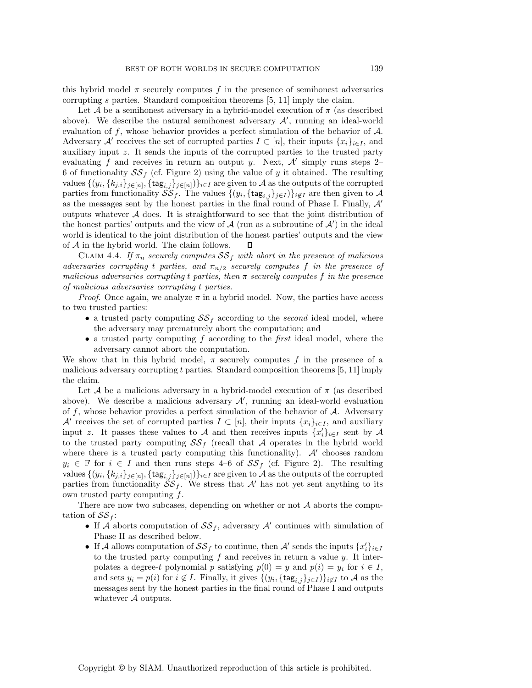this hybrid model  $\pi$  securely computes f in the presence of semihonest adversaries corrupting s parties. Standard composition theorems [5, 11] imply the claim.

Let A be a semihonest adversary in a hybrid-model execution of  $\pi$  (as described above). We describe the natural semihonest adversary  $A'$ , running an ideal-world evaluation of f, whose behavior provides a perfect simulation of the behavior of  $A$ . Adversary A' receives the set of corrupted parties  $I \subset [n]$ , their inputs  $\{x_i\}_{i\in I}$ , and auxiliary input z. It sends the inputs of the corrupted parties to the trusted party evaluating f and receives in return an output y. Next,  $\mathcal{A}'$  simply runs steps 2– 6 of functionality  $SS_f$  (cf. Figure 2) using the value of y it obtained. The resulting values  $\{(y_i, \{k_{j,i}\}_{j\in[n]}, \{\text{tag}_{i,j}\}_{j\in[n]})\}_{i\in I}$  are given to A as the outputs of the corrupted parties from functionality  $\mathcal{SS}_f$ . The values  $\{(y_i, {\{\text{tag}_{i,j}\}_{j\in I}})\}_{i\not\in I}$  are then given to A as the messages sent by the honest parties in the final round of Phase I. Finally,  $\mathcal{A}'$ outputs whatever  $A$  does. It is straightforward to see that the joint distribution of the honest parties' outputs and the view of  $A$  (run as a subroutine of  $A'$ ) in the ideal world is identical to the joint distribution of the honest parties' outputs and the view of A in the hybrid world. The claim follows.  $\Box$ 

CLAIM 4.4. If  $\pi_n$  securely computes  $SS_f$  with abort in the presence of malicious *adversaries corrupting* t parties, and  $\pi_{n/2}$  securely computes f in the presence of *malicious adversaries corrupting* t *parties, then* π *securely computes* f *in the presence of malicious adversaries corrupting* t *parties.*

*Proof.* Once again, we analyze  $\pi$  in a hybrid model. Now, the parties have access to two trusted parties:

- a trusted party computing  $SS<sub>f</sub>$  according to the *second* ideal model, where the adversary may prematurely abort the computation; and
- a trusted party computing f according to the *first* ideal model, where the adversary cannot abort the computation.

We show that in this hybrid model,  $\pi$  securely computes f in the presence of a malicious adversary corrupting  $t$  parties. Standard composition theorems  $[5, 11]$  imply the claim.

Let  $A$  be a malicious adversary in a hybrid-model execution of  $\pi$  (as described above). We describe a malicious adversary  $A'$ , running an ideal-world evaluation of f, whose behavior provides a perfect simulation of the behavior of  $A$ . Adversary A' receives the set of corrupted parties  $I \subset [n]$ , their inputs  $\{x_i\}_{i\in I}$ , and auxiliary input z. It passes these values to A and then receives inputs  $\{x_i'\}_{i\in I}$  sent by A to the trusted party computing  $SS_f$  (recall that A operates in the hybrid world where there is a trusted party computing this functionality).  $A'$  chooses random  $y_i \in \mathbb{F}$  for  $i \in I$  and then runs steps 4–6 of  $\mathcal{SS}_f$  (cf. Figure 2). The resulting values  $\{(y_i, \{k_{j,i}\}_{j\in[n]}, \{\text{tag}_{i,j}\}_{j\in[n]})\}_{i\in I}$  are given to A as the outputs of the corrupted parties from functionality  $\tilde{S}S_f$ . We stress that A' has not yet sent anything to its own trusted party computing f.

There are now two subcases, depending on whether or not  $A$  aborts the computation of  $SS_f$ :

- If A aborts computation of  $SS_f$ , adversary A' continues with simulation of Phase II as described below.
- If A allows computation of  $SS_f$  to continue, then A' sends the inputs  $\{x_i'\}_{i\in I}$ to the trusted party computing  $f$  and receives in return a value  $y$ . It interpolates a degree-t polynomial p satisfying  $p(0) = y$  and  $p(i) = y_i$  for  $i \in I$ , and sets  $y_i = p(i)$  for  $i \notin I$ . Finally, it gives  $\{(y_i, {\{\text{tag}_{i,j}\}_{j\in I}})\}_{i\notin I}$  to A as the messages sent by the honest parties in the final round of Phase I and outputs whatever  $A$  outputs.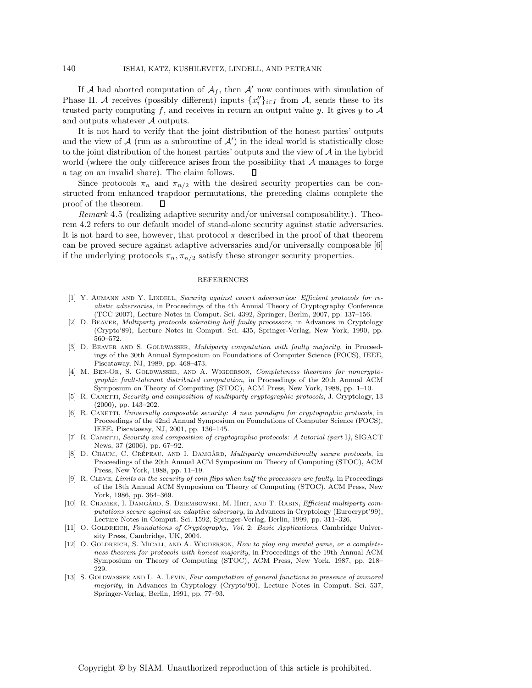If A had aborted computation of  $A_f$ , then A' now continues with simulation of Phase II. A receives (possibly different) inputs  $\{x''_i\}_{i\in I}$  from A, sends these to its trusted party computing f, and receives in return an output value y. It gives y to  $A$ and outputs whatever A outputs.

It is not hard to verify that the joint distribution of the honest parties' outputs and the view of  $A$  (run as a subroutine of  $A'$ ) in the ideal world is statistically close to the joint distribution of the honest parties' outputs and the view of  $A$  in the hybrid world (where the only difference arises from the possibility that  $A$  manages to forge a tag on an invalid share). The claim follows.  $\Box$ 

Since protocols  $\pi_n$  and  $\pi_{n/2}$  with the desired security properties can be constructed from enhanced trapdoor permutations, the preceding claims complete the proof of the theorem. п

*Remark* 4.5 (realizing adaptive security and/or universal composability.). Theorem 4.2 refers to our default model of stand-alone security against static adversaries. It is not hard to see, however, that protocol  $\pi$  described in the proof of that theorem can be proved secure against adaptive adversaries and/or universally composable [6] if the underlying protocols  $\pi_n, \pi_{n/2}$  satisfy these stronger security properties.

### **REFERENCES**

- [1] Y. AUMANN AND Y. LINDELL, Security against covert adversaries: Efficient protocols for realistic adversaries, in Proceedings of the 4th Annual Theory of Cryptography Conference (TCC 2007), Lecture Notes in Comput. Sci. 4392, Springer, Berlin, 2007, pp. 137–156.
- [2] D. Beaver, Multiparty protocols tolerating half faulty processors, in Advances in Cryptology (Crypto'89), Lecture Notes in Comput. Sci. 435, Springer-Verlag, New York, 1990, pp. 560–572.
- [3] D. BEAVER AND S. GOLDWASSER, *Multiparty computation with faulty majority*, in Proceedings of the 30th Annual Symposium on Foundations of Computer Science (FOCS), IEEE, Piscataway, NJ, 1989, pp. 468–473.
- [4] M. BEN-OR, S. GOLDWASSER, AND A. WIGDERSON, Completeness theorems for noncryptographic fault-tolerant distributed computation, in Proceedings of the 20th Annual ACM Symposium on Theory of Computing (STOC), ACM Press, New York, 1988, pp. 1–10.
- [5] R. CANETTI, Security and composition of multiparty cryptographic protocols, J. Cryptology, 13 (2000), pp. 143–202.
- [6] R. CANETTI, Universally composable security: A new paradigm for cryptographic protocols, in Proceedings of the 42nd Annual Symposium on Foundations of Computer Science (FOCS), IEEE, Piscataway, NJ, 2001, pp. 136–145.
- [7] R. CANETTI, Security and composition of cryptographic protocols: A tutorial (part I), SIGACT News, 37 (2006), pp. 67–92.
- [8] D. CHAUM, C. CRÉPEAU, AND I. DAMGÅRD, *Multiparty unconditionally secure protocols*, in Proceedings of the 20th Annual ACM Symposium on Theory of Computing (STOC), ACM Press, New York, 1988, pp. 11–19.
- [9] R. Cleve, Limits on the security of coin flips when half the processors are faulty, in Proceedings of the 18th Annual ACM Symposium on Theory of Computing (STOC), ACM Press, New York, 1986, pp. 364–369.
- [10] R. CRAMER, I. DAMGÅRD, S. DZIEMBOWSKI, M. HIRT, AND T. RABIN, Efficient multiparty computations secure against an adaptive adversary, in Advances in Cryptology (Eurocrypt'99), Lecture Notes in Comput. Sci. 1592, Springer-Verlag, Berlin, 1999, pp. 311–326.
- [11] O. GOLDREICH, Foundations of Cryptography, Vol. 2: Basic Applications, Cambridge University Press, Cambridge, UK, 2004.
- [12] O. GOLDREICH, S. MICALI, AND A. WIGDERSON, How to play any mental game, or a completeness theorem for protocols with honest majority, in Proceedings of the 19th Annual ACM Symposium on Theory of Computing (STOC), ACM Press, New York, 1987, pp. 218– 229.
- [13] S. GOLDWASSER AND L. A. LEVIN, Fair computation of general functions in presence of immoral majority, in Advances in Cryptology (Crypto'90), Lecture Notes in Comput. Sci. 537, Springer-Verlag, Berlin, 1991, pp. 77–93.